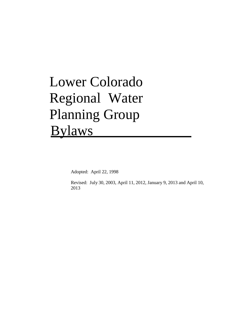# Lower Colorado Regional Water Planning Group Bylaws

Adopted: April 22, 1998

Revised: July 30, 2003, April 11, 2012, January 9, 2013 and April 10, 2013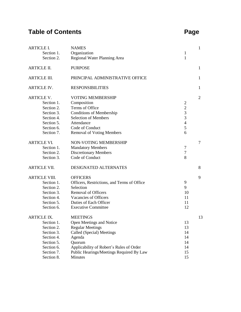## **Table of Contents**

| ×<br>۰.<br>× | v |
|--------------|---|
|--------------|---|

| <b>ARTICLE I.</b><br>Section 1.<br>Section 2.                                                                                      | <b>NAMES</b><br>Organization<br>Regional Water Planning Area                                                                                                                                                               | $\mathbf 1$<br>1                                                                                       | $\mathbf{1}$   |
|------------------------------------------------------------------------------------------------------------------------------------|----------------------------------------------------------------------------------------------------------------------------------------------------------------------------------------------------------------------------|--------------------------------------------------------------------------------------------------------|----------------|
| <b>ARTICLE II.</b>                                                                                                                 | <b>PURPOSE</b>                                                                                                                                                                                                             |                                                                                                        | $\mathbf{1}$   |
| <b>ARTICLE III.</b>                                                                                                                | PRINCIPAL ADMINISTRATIVE OFFICE                                                                                                                                                                                            |                                                                                                        | 1              |
| <b>ARTICLE IV.</b>                                                                                                                 | <b>RESPONSIBILITIES</b>                                                                                                                                                                                                    |                                                                                                        | $\mathbf{1}$   |
| <b>ARTICLE V.</b><br>Section 1.<br>Section 2.<br>Section 3.<br>Section 4.<br>Section 5.<br>Section 6.<br>Section 7.                | <b>VOTING MEMBERSHIP</b><br>Composition<br>Terms of Office<br><b>Conditions of Membership</b><br><b>Selection of Members</b><br>Attendance<br>Code of Conduct<br><b>Removal of Voting Members</b>                          | $\overline{c}$<br>$\sqrt{2}$<br>$\overline{3}$<br>$\mathfrak{Z}$<br>$\overline{\mathcal{A}}$<br>5<br>6 | $\overline{2}$ |
| <b>ARTICLE VI.</b><br>Section 1.<br>Section 2.<br>Section 3.                                                                       | NON-VOTING MEMBERSHIP<br><b>Mandatory Members</b><br><b>Discretionary Members</b><br>Code of Conduct                                                                                                                       | $\tau$<br>$\boldsymbol{7}$<br>8                                                                        | $\overline{7}$ |
| <b>ARTICLE VII.</b>                                                                                                                | DESIGNATED ALTERNATES                                                                                                                                                                                                      |                                                                                                        | 8              |
| <b>ARTICLE VIII.</b><br>Section 1.<br>Section 2.<br>Section 3.<br>Section 4.<br>Section 5.<br>Section 6.                           | <b>OFFICERS</b><br>Officers, Restrictions, and Terms of Office<br>Selection<br>Removal of Officers<br>Vacancies of Officers<br>Duties of Each Officer<br><b>Executive Committee</b>                                        | 9<br>9<br>10<br>11<br>11<br>12                                                                         | 9              |
| <b>ARTICLE IX.</b><br>Section 1.<br>Section 2.<br>Section 3.<br>Section 4.<br>Section 5.<br>Section 6.<br>Section 7.<br>Section 8. | <b>MEETINGS</b><br>Open Meetings and Notice<br><b>Regular Meetings</b><br>Called (Special) Meetings<br>Agenda<br>Quorum<br>Applicability of Robert's Rules of Order<br>Public Hearings/Meetings Required By Law<br>Minutes | 13<br>13<br>14<br>14<br>14<br>14<br>15<br>15                                                           | 13             |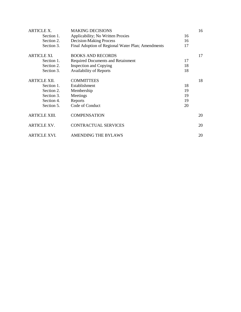| <b>ARTICLE X.</b>    | <b>MAKING DECISIONS</b>                           |    | 16 |
|----------------------|---------------------------------------------------|----|----|
| Section 1.           | Applicability; No Written Proxies                 | 16 |    |
| Section 2.           | <b>Decision-Making Process</b>                    | 16 |    |
| Section 3.           | Final Adoption of Regional Water Plan; Amendments | 17 |    |
| <b>ARTICLE XI.</b>   | <b>BOOKS AND RECORDS</b>                          |    | 17 |
| Section 1.           | Required Documents and Retainment                 | 17 |    |
| Section 2.           | <b>Inspection and Copying</b>                     | 18 |    |
| Section 3.           | <b>Availability of Reports</b>                    | 18 |    |
| ARTICLE XII.         | <b>COMMITTEES</b>                                 |    | 18 |
| Section 1.           | Establishment                                     | 18 |    |
| Section 2.           | Membership                                        | 19 |    |
| Section 3.           | Meetings                                          | 19 |    |
| Section 4.           | Reports                                           | 19 |    |
| Section 5.           | Code of Conduct                                   | 20 |    |
| <b>ARTICLE XIII.</b> | <b>COMPENSATION</b>                               |    | 20 |
| <b>ARTICLE XV.</b>   | <b>CONTRACTUAL SERVICES</b>                       |    | 20 |
| ARTICLE XVI.         | AMENDING THE BYLAWS                               |    | 20 |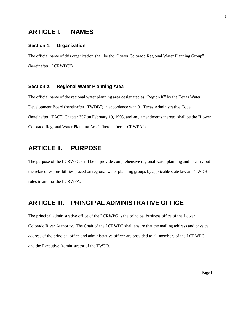## **ARTICLE I. NAMES**

#### **Section 1. Organization**

The official name of this organization shall be the "Lower Colorado Regional Water Planning Group" (hereinafter "LCRWPG").

#### **Section 2. Regional Water Planning Area**

The official name of the regional water planning area designated as "Region K" by the Texas Water Development Board (hereinafter "TWDB") in accordance with 31 Texas Administrative Code (hereinafter "TAC") Chapter 357 on February 19, 1998, and any amendments thereto, shall be the "Lower Colorado Regional Water Planning Area" (hereinafter "LCRWPA").

## **ARTICLE II. PURPOSE**

The purpose of the LCRWPG shall be to provide comprehensive regional water planning and to carry out the related responsibilities placed on regional water planning groups by applicable state law and TWDB rules in and for the LCRWPA.

## **ARTICLE III. PRINCIPAL ADMINISTRATIVE OFFICE**

The principal administrative office of the LCRWPG is the principal business office of the Lower Colorado River Authority. The Chair of the LCRWPG shall ensure that the mailing address and physical address of the principal office and administrative officer are provided to all members of the LCRWPG and the Executive Administrator of the TWDB.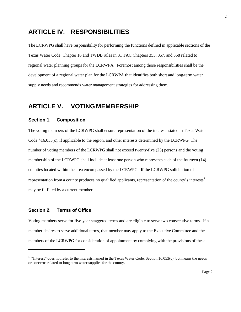## **ARTICLE IV. RESPONSIBILITIES**

The LCRWPG shall have responsibility for performing the functions defined in applicable sections of the Texas Water Code, Chapter 16 and TWDB rules in 31 TAC Chapters 355, 357, and 358 related to regional water planning groups for the LCRWPA. Foremost among those responsibilities shall be the development of a regional water plan for the LCRWPA that identifies both short and long-term water supply needs and recommends water management strategies for addressing them.

## **ARTICLE V. VOTING MEMBERSHIP**

#### **Section 1. Composition**

The voting members of the LCRWPG shall ensure representation of the interests stated in Texas Water Code §16.053(c), if applicable to the region, and other interests determined by the LCRWPG. The number of voting members of the LCRWPG shall not exceed twenty-five (25) persons and the voting membership of the LCRWPG shall include at least one person who represents each of the fourteen (14) counties located within the area encompassed by the LCRWPG. If the LCRWPG solicitation of repre[s](#page-4-0)entation from a county produces no qualified applicants, representation of the county's interests<sup>1</sup> may be fulfilled by a current member.

#### **Section 2. Terms of Office**

Voting members serve for five-year staggered terms and are eligible to serve two consecutive terms. If a member desires to serve additional terms, that member may apply to the Executive Committee and the members of the LCRWPG for consideration of appointment by complying with the provisions of these

<span id="page-4-0"></span><sup>&</sup>lt;sup>1</sup> "Interest" does not refer to the interests named in the Texas Water Code, Section 16.053(c), but means the needs or concerns related to long term water supplies for the county.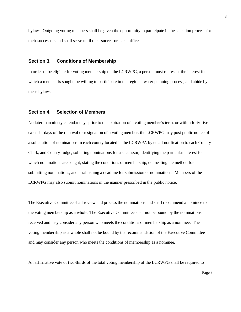bylaws. Outgoing voting members shall be given the opportunity to participate in the selection process for their successors and shall serve until their successors take office.

#### **Section 3. Conditions of Membership**

In order to be eligible for voting membership on the LCRWPG, a person must represent the interest for which a member is sought, be willing to participate in the regional water planning process, and abide by these bylaws.

#### **Section 4. Selection of Members**

No later than ninety calendar days prior to the expiration of a voting member's term, or within forty-five calendar days of the removal or resignation of a voting member, the LCRWPG may post public notice of a solicitation of nominations in each county located in the LCRWPA by email notification to each County Clerk, and County Judge, soliciting nominations for a successor, identifying the particular interest for which nominations are sought, stating the conditions of membership, delineating the method for submitting nominations, and establishing a deadline for submission of nominations. Members of the LCRWPG may also submit nominations in the manner prescribed in the public notice.

The Executive Committee shall review and process the nominations and shall recommend a nominee to the voting membership as a whole. The Executive Committee shall not be bound by the nominations received and may consider any person who meets the conditions of membership as a nominee. The voting membership as a whole shall not be bound by the recommendation of the Executive Committee and may consider any person who meets the conditions of membership as a nominee.

An affirmative vote of two-thirds of the total voting membership of the LCRWPG shall be required to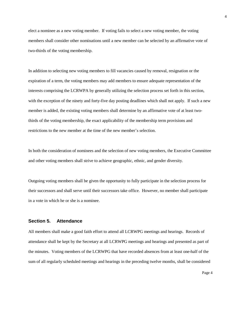elect a nominee as a new voting member. If voting fails to select a new voting member, the voting members shall consider other nominations until a new member can be selected by an affirmative vote of two-thirds of the voting membership.

In addition to selecting new voting members to fill vacancies caused by removal, resignation or the expiration of a term, the voting members may add members to ensure adequate representation of the interests comprising the LCRWPA by generally utilizing the selection process set forth in this section, with the exception of the ninety and forty-five day posting deadlines which shall not apply. If such a new member is added, the existing voting members shall determine by an affirmative vote of at least twothirds of the voting membership, the exact applicability of the membership term provisions and restrictions to the new member at the time of the new member's selection.

In both the consideration of nominees and the selection of new voting members, the Executive Committee and other voting members shall strive to achieve geographic, ethnic, and gender diversity.

Outgoing voting members shall be given the opportunity to fully participate in the selection process for their successors and shall serve until their successors take office. However, no member shall participate in a vote in which he or she is a nominee.

#### **Section 5. Attendance**

All members shall make a good faith effort to attend all LCRWPG meetings and hearings. Records of attendance shall be kept by the Secretary at all LCRWPG meetings and hearings and presented as part of the minutes. Voting members of the LCRWPG that have recorded absences from at least one-half of the sum of all regularly scheduled meetings and hearings in the preceding twelve months, shall be considered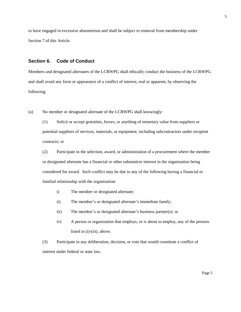to have engaged in excessive absenteeism and shall be subject to removal from membership under Section 7 of this Article.

#### **Section 6. Code of Conduct**

Members and designated alternates of the LCRWPG shall ethically conduct the business of the LCRWPG and shall avoid any form or appearance of a conflict of interest, real or apparent, by observing the following:

(a) No member or designated alternate of the LCRWPG shall knowingly:

(1) Solicit or accept gratuities, favors, or anything of monetary value from suppliers or potential suppliers of services, materials, or equipment, including subcontractors under recipient contracts; or

(2) Participate in the selection, award, or administration of a procurement where the member or designated alternate has a financial or other substantive interest in the organization being considered for award. Such conflict may be due to any of the following having a financial or familial relationship with the organization:

- i) The member or designated alternate;
- ii) The member's or designated alternate's immediate family;
- iii) The member's or designated alternate's business partner(s); or
- iv) A person or organization that employs, or is about to employ, any of the persons listed in (i)-(iii), above.

(3) Participate in any deliberation, decision, or vote that would constitute a conflict of interest under federal or state law.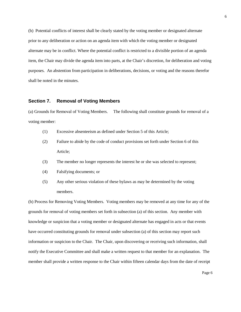(b) Potential conflicts of interest shall be clearly stated by the voting member or designated alternate prior to any deliberation or action on an agenda item with which the voting member or designated alternate may be in conflict. Where the potential conflict is restricted to a divisible portion of an agenda item, the Chair may divide the agenda item into parts, at the Chair's discretion, for deliberation and voting purposes. An abstention from participation in deliberations, decisions, or voting and the reasons therefor shall be noted in the minutes.

#### **Section 7. Removal of Voting Members**

(a) Grounds for Removal of Voting Members. The following shall constitute grounds for removal of a voting member:

- (1) Excessive absenteeism as defined under Section 5 of this Article;
- (2) Failure to abide by the code of conduct provisions set forth under Section 6 of this Article;
- (3) The member no longer represents the interest he or she was selected to represent;
- (4) Falsifying documents; or
- (5) Any other serious violation of these bylaws as may be determined by the voting members.

(b) Process for Removing Voting Members. Voting members may be removed at any time for any of the grounds for removal of voting members set forth in subsection (a) of this section. Any member with knowledge or suspicion that a voting member or designated alternate has engaged in acts or that events have occurred constituting grounds for removal under subsection (a) of this section may report such information or suspicion to the Chair. The Chair, upon discovering or receiving such information, shall notify the Executive Committee and shall make a written request to that member for an explanation. The member shall provide a written response to the Chair within fifteen calendar days from the date of receipt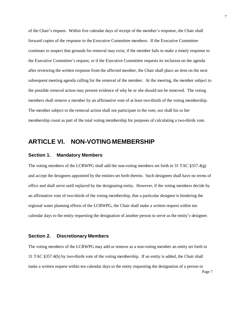of the Chair's request. Within five calendar days of receipt of the member's response, the Chair shall forward copies of the response to the Executive Committee members. If the Executive Committee continues to suspect that grounds for removal may exist, if the member fails to make a timely response to the Executive Committee's request, or if the Executive Committee requests its inclusion on the agenda after reviewing the written response from the affected member, the Chair shall place an item on the next subsequent meeting agenda calling for the removal of the member. At the meeting, the member subject to the possible removal action may present evidence of why he or she should not be removed. The voting members shall remove a member by an affirmative vote of at least two-thirds of the voting membership. The member subject to the removal action shall not participate in the vote, nor shall his or her membership count as part of the total voting membership for purposes of calculating a two-thirds vote.

## **ARTICLE VI. NON-VOTING MEMBERSHIP**

#### **Section 1. Mandatory Members**

The voting members of the LCRWPG shall add the non-voting members set forth in 31 TAC §357.4(g) and accept the designees appointed by the entities set forth therein. Such designees shall have no terms of office and shall serve until replaced by the designating entity. However, if the voting members decide by an affirmative vote of two-thirds of the voting membership, that a particular designee is hindering the regional water planning efforts of the LCRWPG, the Chair shall make a written request within ten calendar days to the entity requesting the designation of another person to serve as the entity's designee.

#### **Section 2. Discretionary Members**

The voting members of the LCRWPG may add or remove as a non-voting member an entity set forth in 31 TAC §357.4(h) by two-thirds vote of the voting membership. If an entity is added, the Chair shall make a written request within ten calendar days to the entity requesting the designation of a person to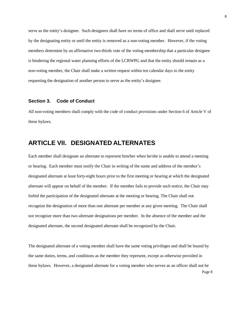serve as the entity's designee. Such designees shall have no terms of office and shall serve until replaced by the designating entity or until the entity is removed as a non-voting member. However, if the voting members determine by an affirmative two-thirds vote of the voting membership that a particular designee is hindering the regional water planning efforts of the LCRWPG and that the entity should remain as a non-voting member, the Chair shall make a written request within ten calendar days to the entity requesting the designation of another person to serve as the entity's designee.

#### **Section 3. Code of Conduct**

All non-voting members shall comply with the code of conduct provisions under Section 6 of Article V of these bylaws.

## **ARTICLE VII. DESIGNATED ALTERNATES**

Each member shall designate an alternate to represent him/her when he/she is unable to attend a meeting or hearing. Each member must notify the Chair in writing of the name and address of the member's designated alternate at least forty-eight hours prior to the first meeting or hearing at which the designated alternate will appear on behalf of the member. If the member fails to provide such notice, the Chair may forbid the participation of the designated alternate at the meeting or hearing. The Chair shall not recognize the designation of more than one alternate per member at any given meeting. The Chair shall not recognize more than two alternate designations per member. In the absence of the member and the designated alternate, the second designated alternate shall be recognized by the Chair.

The designated alternate of a voting member shall have the same voting privileges and shall be bound by the same duties, terms, and conditions as the member they represent, except as otherwise provided in these bylaws. However, a designated alternate for a voting member who serves as an officer shall not be Page 8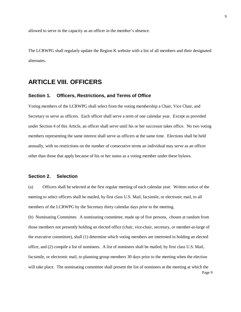allowed to serve in the capacity as an officer in the member's absence.

The LCRWPG shall regularly update the Region K website with a list of all members and their designated alternates.

## **ARTICLE VIII. OFFICERS**

#### **Section 1. Officers, Restrictions, and Terms of Office**

Voting members of the LCRWPG shall select from the voting membership a Chair, Vice Chair, and Secretary to serve as officers. Each officer shall serve a term of one calendar year. Except as provided under Section 4 of this Article, an officer shall serve until his or her successor takes office. No two voting members representing the same interest shall serve as officers at the same time. Elections shall be held annually, with no restrictions on the number of consecutive terms an individual may serve as an officer other than those that apply because of his or her status as a voting member under these bylaws.

#### **Section 2. Selection**

(a) Officers shall be selected at the first regular meeting of each calendar year. Written notice of the meeting to select officers shall be mailed, by first class U.S. Mail, facsimile, or electronic mail, to all members of the LCRWPG by the Secretary thirty calendar days prior to the meeting.

(b) Nominating Committee. A nominating committee, made up of five persons, chosen at random from those members not presently holding an elected office (chair, vice-chair, secretary, or member-at-large of the executive committee), shall (1) determine which voting members are interested in holding an elected office, and (2) compile a list of nominees. A list of nominees shall be mailed, by first class U.S. Mail, facsimile, or electronic mail, to planning group members 30 days prior to the meeting when the election will take place. The nominating committee shall present the list of nominees at the meeting at which the Page 9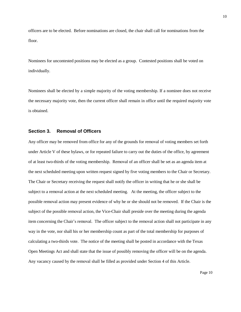officers are to be elected. Before nominations are closed, the chair shall call for nominations from the floor.

Nominees for uncontested positions may be elected as a group. Contested positions shall be voted on individually.

Nominees shall be elected by a simple majority of the voting membership. If a nominee does not receive the necessary majority vote, then the current officer shall remain in office until the required majority vote is obtained.

#### **Section 3. Removal of Officers**

Any officer may be removed from office for any of the grounds for removal of voting members set forth under Article V of these bylaws, or for repeated failure to carry out the duties of the office, by agreement of at least two-thirds of the voting membership. Removal of an officer shall be set as an agenda item at the next scheduled meeting upon written request signed by five voting members to the Chair or Secretary. The Chair or Secretary receiving the request shall notify the officer in writing that he or she shall be subject to a removal action at the next scheduled meeting. At the meeting, the officer subject to the possible removal action may present evidence of why he or she should not be removed. If the Chair is the subject of the possible removal action, the Vice-Chair shall preside over the meeting during the agenda item concerning the Chair's removal. The officer subject to the removal action shall not participate in any way in the vote, nor shall his or her membership count as part of the total membership for purposes of calculating a two-thirds vote. The notice of the meeting shall be posted in accordance with the Texas Open Meetings Act and shall state that the issue of possibly removing the officer will be on the agenda. Any vacancy caused by the removal shall be filled as provided under Section 4 of this Article.

Page 10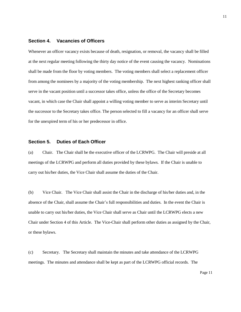#### **Section 4. Vacancies of Officers**

Whenever an officer vacancy exists because of death, resignation, or removal, the vacancy shall be filled at the next regular meeting following the thirty day notice of the event causing the vacancy. Nominations shall be made from the floor by voting members. The voting members shall select a replacement officer from among the nominees by a majority of the voting membership. The next highest ranking officer shall serve in the vacant position until a successor takes office, unless the office of the Secretary becomes vacant, in which case the Chair shall appoint a willing voting member to serve as interim Secretary until the successor to the Secretary takes office. The person selected to fill a vacancy for an officer shall serve for the unexpired term of his or her predecessor in office.

#### **Section 5. Duties of Each Officer**

(a) Chair. The Chair shall be the executive officer of the LCRWPG. The Chair will preside at all meetings of the LCRWPG and perform all duties provided by these bylaws. If the Chair is unable to carry out his/her duties, the Vice Chair shall assume the duties of the Chair.

(b) Vice Chair. The Vice Chair shall assist the Chair in the discharge of his/her duties and, in the absence of the Chair, shall assume the Chair's full responsibilities and duties. In the event the Chair is unable to carry out his/her duties, the Vice Chair shall serve as Chair until the LCRWPG elects a new Chair under Section 4 of this Article. The Vice-Chair shall perform other duties as assigned by the Chair, or these bylaws.

(c) Secretary. The Secretary shall maintain the minutes and take attendance of the LCRWPG meetings. The minutes and attendance shall be kept as part of the LCRWPG official records. The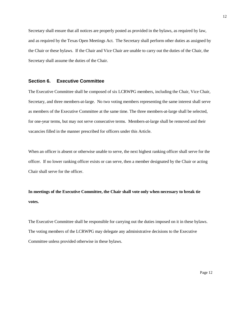Secretary shall ensure that all notices are properly posted as provided in the bylaws, as required by law, and as required by the Texas Open Meetings Act. The Secretary shall perform other duties as assigned by the Chair or these bylaws. If the Chair and Vice Chair are unable to carry out the duties of the Chair, the Secretary shall assume the duties of the Chair.

#### **Section 6. Executive Committee**

The Executive Committee shall be composed of six LCRWPG members, including the Chair, Vice Chair, Secretary, and three members-at-large. No two voting members representing the same interest shall serve as members of the Executive Committee at the same time. The three members-at-large shall be selected, for one-year terms, but may not serve consecutive terms. Members-at-large shall be removed and their vacancies filled in the manner prescribed for officers under this Article.

When an officer is absent or otherwise unable to serve, the next highest ranking officer shall serve for the officer. If no lower ranking officer exists or can serve, then a member designated by the Chair or acting Chair shall serve for the officer.

**In meetings of the Executive Committee, the Chair shall vote only when necessary to break tie votes.**

The Executive Committee shall be responsible for carrying out the duties imposed on it in these bylaws. The voting members of the LCRWPG may delegate any administrative decisions to the Executive Committee unless provided otherwise in these bylaws.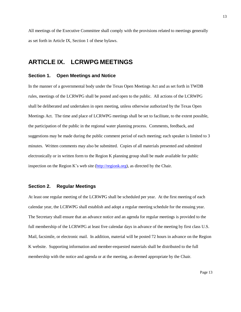All meetings of the Executive Committee shall comply with the provisions related to meetings generally as set forth in Article IX, Section 1 of these bylaws.

## **ARTICLE IX. LCRWPG MEETINGS**

#### **Section 1. Open Meetings and Notice**

In the manner of a governmental body under the Texas Open Meetings Act and as set forth in TWDB rules, meetings of the LCRWPG shall be posted and open to the public. All actions of the LCRWPG shall be deliberated and undertaken in open meeting, unless otherwise authorized by the Texas Open Meetings Act. The time and place of LCRWPG meetings shall be set to facilitate, to the extent possible, the participation of the public in the regional water planning process. Comments, feedback, and suggestions may be made during the public comment period of each meeting; each speaker is limited to 3 minutes. Written comments may also be submitted. Copies of all materials presented and submitted electronically or in written form to the Region K planning group shall be made available for public inspection on the Region K's web site [\(http://regionk.org\)](http://regionk.org/), as directed by the Chair.

#### **Section 2. Regular Meetings**

At least one regular meeting of the LCRWPG shall be scheduled per year. At the first meeting of each calendar year, the LCRWPG shall establish and adopt a regular meeting schedule for the ensuing year. The Secretary shall ensure that an advance notice and an agenda for regular meetings is provided to the full membership of the LCRWPG at least five calendar days in advance of the meeting by first class U.S. Mail, facsimile, or electronic mail. In addition, material will be posted 72 hours in advance on the Region K website. Supporting information and member-requested materials shall be distributed to the full membership with the notice and agenda or at the meeting, as deemed appropriate by the Chair.

13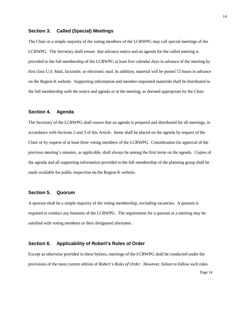#### **Section 3. Called (Special) Meetings**

The Chair or a simple majority of the voting members of the LCRWPG may call special meetings of the LCRWPG. The Secretary shall ensure that advance notice and an agenda for the called meeting is provided to the full membership of the LCRWPG at least five calendar days in advance of the meeting by first class U.S. Mail, facsimile, or electronic mail. In addition, material will be posted 72 hours in advance on the Region K website. Supporting information and member-requested materials shall be distributed to the full membership with the notice and agenda or at the meeting, as deemed appropriate by the Chair.

#### **Section 4. Agenda**

The Secretary of the LCRWPG shall ensure that an agenda is prepared and distributed for all meetings, in accordance with Sections 2 and 3 of this Article. Items shall be placed on the agenda by request of the Chair or by request of at least three voting members of the LCRWPG. Consideration for approval of the previous meeting's minutes, as applicable, shall always be among the first items on the agenda. Copies of the agenda and all supporting information provided to the full membership of the planning group shall be made available for public inspection on the Region K website.

#### **Section 5. Quorum**

A quorum shall be a simple majority of the voting membership, excluding vacancies. A quorum is required to conduct any business of the LCRWPG. The requirement for a quorum at a meeting may be satisfied with voting members or their designated alternates.

#### **Section 6. Applicability of Robert's Rules of Order**

Except as otherwise provided in these bylaws, meetings of the LCRWPG shall be conducted under the provisions of the most current edition of *Robert's Rules of Order*. However, failure to follow such rules

Page 14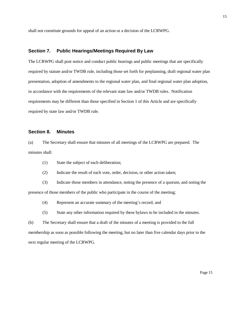shall not constitute grounds for appeal of an action or a decision of the LCRWPG.

#### **Section 7. Public Hearings/Meetings Required By Law**

The LCRWPG shall post notice and conduct public hearings and public meetings that are specifically required by statute and/or TWDB rule, including those set forth for preplanning, draft regional water plan presentation, adoption of amendments to the regional water plan, and final regional water plan adoption, in accordance with the requirements of the relevant state law and/or TWDB rules. Notification requirements may be different than those specified in Section 1 of this Article and are specifically required by state law and/or TWDB rule.

#### **Section 8. Minutes**

(a) The Secretary shall ensure that minutes of all meetings of the LCRWPG are prepared. The minutes shall:

- (1) State the subject of each deliberation;
- (2) Indicate the result of each vote, order, decision, or other action taken;

(3) Indicate those members in attendance, noting the presence of a quorum, and noting the presence of those members of the public who participate in the course of the meeting;

- (4) Represent an accurate summary of the meeting's record; and
- (5) State any other information required by these bylaws to be included in the minutes.

(b) The Secretary shall ensure that a draft of the minutes of a meeting is provided to the full membership as soon as possible following the meeting, but no later than five calendar days prior to the next regular meeting of the LCRWPG.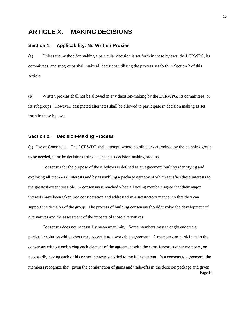## **ARTICLE X. MAKING DECISIONS**

#### **Section 1. Applicability; No Written Proxies**

(a) Unless the method for making a particular decision is set forth in these bylaws, the LCRWPG, its committees, and subgroups shall make all decisions utilizing the process set forth in Section 2 of this Article.

(b) Written proxies shall not be allowed in any decision-making by the LCRWPG, its committees, or its subgroups. However, designated alternates shall be allowed to participate in decision making as set forth in these bylaws.

#### **Section 2. Decision-Making Process**

(a) Use of Consensus. The LCRWPG shall attempt, where possible or determined by the planning group to be needed, to make decisions using a consensus decision-making process.

Consensus for the purpose of these bylaws is defined as an agreement built by identifying and exploring all members' interests and by assembling a package agreement which satisfies these interests to the greatest extent possible. A consensus is reached when all voting members agree that their major interests have been taken into consideration and addressed in a satisfactory manner so that they can support the decision of the group. The process of building consensus should involve the development of alternatives and the assessment of the impacts of those alternatives.

Consensus does not necessarily mean unanimity. Some members may strongly endorse a particular solution while others may accept it as a workable agreement. A member can participate in the consensus without embracing each element of the agreement with the same fervor as other members, or necessarily having each of his or her interests satisfied to the fullest extent. In a consensus agreement, the members recognize that, given the combination of gains and trade-offs in the decision package and given Page 16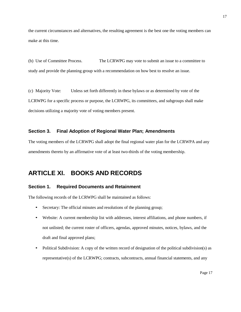the current circumstances and alternatives, the resulting agreement is the best one the voting members can make at this time.

(b) Use of Committee Process. The LCRWPG may vote to submit an issue to a committee to study and provide the planning group with a recommendation on how best to resolve an issue.

(c) Majority Vote: Unless set forth differently in these bylaws or as determined by vote of the LCRWPG for a specific process or purpose, the LCRWPG, its committees, and subgroups shall make decisions utilizing a majority vote of voting members present.

#### **Section 3. Final Adoption of Regional Water Plan; Amendments**

The voting members of the LCRWPG shall adopt the final regional water plan for the LCRWPA and any amendments thereto by an affirmative vote of at least two-thirds of the voting membership.

## **ARTICLE XI. BOOKS AND RECORDS**

#### **Section 1. Required Documents and Retainment**

The following records of the LCRWPG shall be maintained as follows:

- Secretary: The official minutes and resolutions of the planning group;
- Website: A current membership list with addresses, interest affiliations, and phone numbers, if not unlisted; the current roster of officers, agendas, approved minutes, notices, bylaws, and the draft and final approved plans;
- Political Subdivision: A copy of the written record of designation of the political subdivision(s) as representative(s) of the LCRWPG; contracts, subcontracts, annual financial statements, and any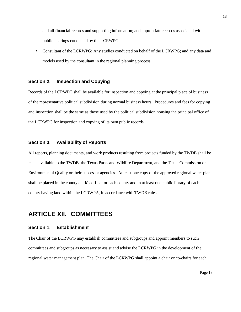and all financial records and supporting information; and appropriate records associated with public hearings conducted by the LCRWPG;

• Consultant of the LCRWPG: Any studies conducted on behalf of the LCRWPG; and any data and models used by the consultant in the regional planning process.

#### **Section 2. Inspection and Copying**

Records of the LCRWPG shall be available for inspection and copying at the principal place of business of the representative political subdivision during normal business hours. Procedures and fees for copying and inspection shall be the same as those used by the political subdivision housing the principal office of the LCRWPG for inspection and copying of its own public records.

#### **Section 3. Availability of Reports**

All reports, planning documents, and work products resulting from projects funded by the TWDB shall be made available to the TWDB, the Texas Parks and Wildlife Department, and the Texas Commission on Environmental Quality or their successor agencies. At least one copy of the approved regional water plan shall be placed in the county clerk's office for each county and in at least one public library of each county having land within the LCRWPA, in accordance with TWDB rules.

## **ARTICLE XII. COMMITTEES**

#### **Section 1. Establishment**

The Chair of the LCRWPG may establish committees and subgroups and appoint members to such committees and subgroups as necessary to assist and advise the LCRWPG in the development of the regional water management plan. The Chair of the LCRWPG shall appoint a chair or co-chairs for each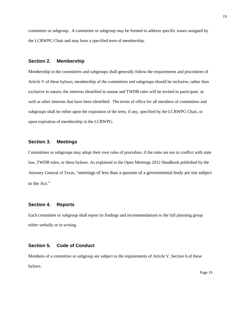committee or subgroup. A committee or subgroup may be formed to address specific issues assigned by the LCRWPG Chair and may have a specified term of membership.

#### **Section 2. Membership**

Membership in the committees and subgroups shall generally follow the requirements and procedures of Article V of these bylaws; membership of the committees and subgroups should be inclusive, rather than exclusive in nature; the interests identified in statute and TWDB rules will be invited to participate, as well as other interests that have been identified. The terms of office for all members of committees and subgroups shall be either upon the expiration of the term, if any, specified by the LCRWPG Chair, or upon expiration of membership in the LCRWPG.

#### **Section 3. Meetings**

Committees or subgroups may adopt their own rules of procedure, if the rules are not in conflict with state law, TWDB rules, or these bylaws. As explained in the Open Meetings 2012 Handbook published by the Attorney General of Texas, "meetings of less than a quorum of a governmental body are not subject to the Act."

#### **Section 4. Reports**

Each committee or subgroup shall report its findings and recommendations to the full planning group either verbally or in writing.

#### **Section 5. Code of Conduct**

Members of a committee or subgroup are subject to the requirements of Article V, Section 6 of these bylaws.